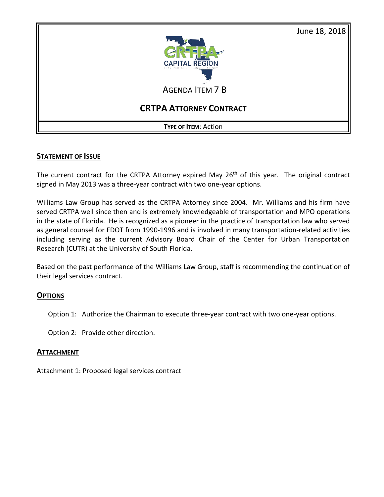



AGENDA ITEM 7 B

# **CRTPA ATTORNEY CONTRACT**

**TYPE OF ITEM**: Action

### **STATEMENT OF ISSUE**

The current contract for the CRTPA Attorney expired May 26<sup>th</sup> of this year. The original contract signed in May 2013 was a three-year contract with two one-year options.

Williams Law Group has served as the CRTPA Attorney since 2004. Mr. Williams and his firm have served CRTPA well since then and is extremely knowledgeable of transportation and MPO operations in the state of Florida. He is recognized as a pioneer in the practice of transportation law who served as general counsel for FDOT from 1990-1996 and is involved in many transportation-related activities including serving as the current Advisory Board Chair of the Center for Urban Transportation Research (CUTR) at the University of South Florida.

Based on the past performance of the Williams Law Group, staff is recommending the continuation of their legal services contract.

### **OPTIONS**

Option 1: Authorize the Chairman to execute three-year contract with two one-year options.

Option 2: Provide other direction.

### **ATTACHMENT**

Attachment 1: Proposed legal services contract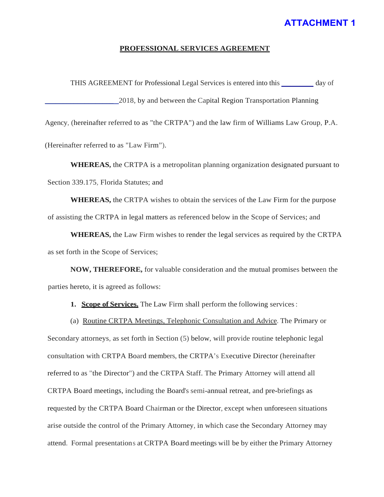## **ATTACHMENT 1**

#### PROFESSIONAL SERVICES AGREEMENT

THIS AGREEMENT for Professional Legal Services is entered into this \_\_\_\_\_\_\_ day of \_\_\_\_\_\_\_\_\_\_\_\_\_\_\_\_\_\_\_ 2018, by and between the Capital Region Transportation Planning Agency, (hereinafter referred to as "the CRTPA") and the law firm of Williams Law Group, P.A.

(Hereinafter referred to as "Law Firm").

**WHEREAS,** the CRTPA is a metropolitan planning organization designated pursuant to Section 339.175, Florida Statutes; and

**WHEREAS,** the CRTPA wishes to obtain the services of the Law Firm for the purpose of assisting the CRTPA in legal matters as referenced below in the Scope of Services; and

**WHEREAS,** the Law Firm wishes to render the legal services as required by the CRTPA as set forth in the Scope of Services;

**NOW, THEREFORE,** for valuable consideration and the mutual promises between the parties hereto, it is agreed as follows:

- **1. Scope of Services.** The Law Firm shall perform the following services:
- (a) Routine CRTPA Meetings, Telephonic Consultation and Advice. The Primary or

Secondary attorneys, as set forth in Section (5) below, will provide routine telephonic legal consultation with CRTPA Board members, the CRTPA's Executive Director (hereinafter referred to as "the Director") and the CRTPA Staff. The Primary Attorney will attend all CRTPA Board meetings, including the Board's semi-annual retreat, and pre-briefings as requested by the CRTPA Board Chairman or the Director, except when unforeseen situations arise outside the control of the Primary Attorney, in which case the Secondary Attorney may attend. Formal presentations at CRTPA Board meetings will be by either the Primary Attorney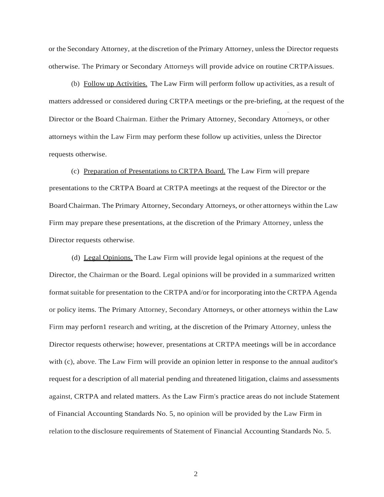or the Secondary Attorney, at the discretion of the Primary Attorney, unlessthe Director requests otherwise. The Primary or Secondary Attorneys will provide advice on routine CRTPAissues.

(b) Follow up Activities. The Law Firm will perform follow up activities, as a result of matters addressed or considered during CRTPA meetings or the pre-briefing, at the request of the •· Director or the Board Chairman. Either the Primary Attorney, Secondary Attorneys, or other attorneys within the Law Firm may perform these follow up activities, unless the Director requests otherwise.

(c) Preparation of Presentations to CRTPA Board. The Law Firm will prepare presentations to the CRTPA Board at CRTPA meetings at the request of the Director or the Board Chairman. The Primary Attorney, Secondary Attorneys, or other attorneys within the Law Firm may prepare these presentations, at the discretion of the Primary Attorney, unless the Director requests otherwise.

(d) Legal Opinions. The Law Firm will provide legal opinions at the request of the Director, the Chairman or the Board. Legal opinions will be provided in a summarized written formatsuitable for presentation to the CRTPA and/or for incorporating into the CRTPA Agenda or policy items. The Primary Attorney, Secondary Attorneys, or other attorneys within the Law Firm may perforn1 research and writing, at the discretion of the Primary Attorney, unless the Director requests otherwise; however, presentations at CRTPA meetings will be in accordance with (c), above. The Law Firm will provide an opinion letter in response to the annual auditor's request for a description of all material pending and threatened litigation, claims and assessments against, CRTPA and related matters. As the Law Firm's practice areas do not include Statement of Financial Accounting Standards No. 5, no opinion will be provided by the Law Firm in relation to the disclosure requirements of Statement of Financial Accounting Standards No. 5.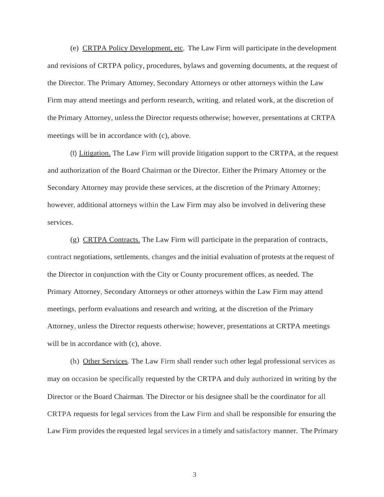(e) CRTPA Policy Development, etc. The Law Firm will participate in the development and revisions of CRTPA policy, procedures, bylaws and governing documents, at the request of the Director. The Primary Attorney, Secondary Attorneys or other attorneys within the Law Firm may attend meetings and perform research, writing, and related work, at the discretion of the Primary Attorney, unlessthe Director requests otherwise; however, presentations at CRTPA meetings will be in accordance with (c), above.

(t) Litigation. The Law Firm will provide litigation support to the CRTPA, at the request and authorization of the Board Chairman or the Director. Either the Primary Attorney or the Secondary Attorney may provide these services, at the discretion of the Primary Attorney; however, additional attorneys within the Law Firm may also be involved in delivering these services.

(g) CRTPA Contracts. The Law Firm will participate in the preparation of contracts, contract negotiations, settlements, changes and the initial evaluation of protests at the request of the Director in conjunction with the City or County procurement offices, as needed. The Primary Attorney, Secondary Attorneys or other attorneys within the Law Firm may attend meetings, perform evaluations and research and writing, at the discretion of the Primary Attorney, unless the Director requests otherwise; however, presentations at CRTPA meetings will be in accordance with  $(c)$ , above.

(h) Other Services. The Law Firm shall render such other legal professional services as may on occasion be specifically requested by the CRTPA and duly authorized in writing by the Director or the Board Chairman. The Director or his designee shall be the coordinator for all CRTPA requests for legal services from the Law Firm and shall be responsible for ensuring the Law Firm provides the requested legal services in a timely and satisfactory manner. The Primary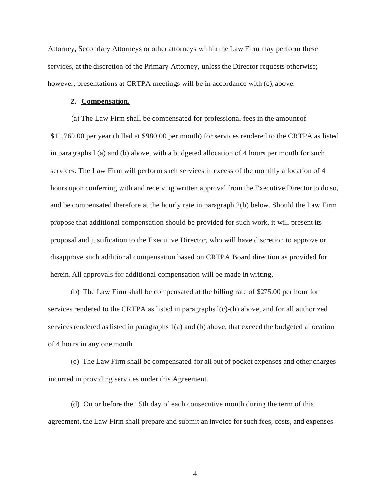Attorney, Secondary Attorneys or other attorneys within the Law Firm may perform these services, at the discretion of the Primary Attorney, unless the Director requests otherwise; however, presentations at CRTPA meetings will be in accordance with (c), above.

#### **2. Compensation.**

(a) The Law Firm shall be compensated for professional fees in the amount of \$11,760.00 per year (billed at \$980.00 per month) for services rendered to the CRTPA as listed in paragraphs l (a) and (b) above, with a budgeted allocation of 4 hours per month for such services. The Law Firm will perform such services in excess of the monthly allocation of 4 hours upon conferring with and receiving written approval from the Executive Director to do so, and be compensated therefore at the hourly rate in paragraph 2(b) below. Should the Law Firm propose that additional compensation should be provided for such work, it will present its proposal and justification to the Executive Director, who will have discretion to approve or disapprove such additional compensation based on CRTPA Board direction as provided for herein. All approvals for additional compensation will be made in writing.

(b) The Law Firm shall be compensated at the billing rate of \$275.00 per hour for services rendered to the CRTPA as listed in paragraphs  $l(c)$ -(h) above, and for all authorized services rendered aslisted in paragraphs 1(a) and (b) above, that exceed the budgeted allocation of 4 hours in any onemonth.

(c) The Law Firm shall be compensated for all out of pocket expenses and other charges incurred in providing services under this Agreement.

(d) On or before the 15th day of each consecutive month during the term of this agreement, the Law Firm shall prepare and submit an invoice forsuch fees, costs, and expenses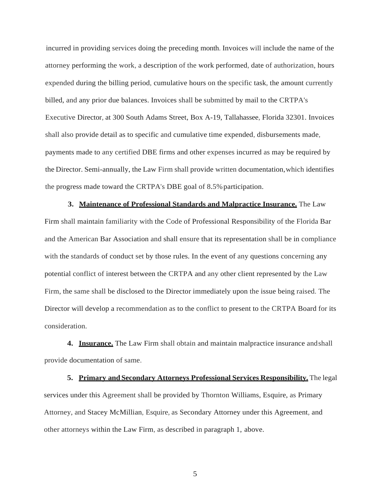incurred in providing services doing the preceding month. Invoices will include the name of the attorney performing the work, a description of the work performed, date of authorization, hours expended during the billing period, cumulative hours on the specific task, the amount currently billed, and any prior due balances. Invoices shall be submitted by mail to the CRTPA's Executive Director, at 300 South Adams Street, Box A-19, Tallahassee, Florida 32301. Invoices shall also provide detail as to specific and cumulative time expended, disbursements made, payments made to any certified DBE firms and other expenses incurred as may be required by the Director. Semi-annually, the Law Firm shall provide written documentation,which identifies the progress made toward the CRTPA's DBE goal of 8.5% participation.

**3. Maintenance of Professional Standards and Malpractice Insurance.** The Law Firm shall maintain familiarity with the Code of Professional Responsibility of the Florida Bar and the American Bar Association and shall ensure that its representation shall be in compliance with the standards of conduct set by those rules. In the event of any questions concerning any potential conflict of interest between the CRTPA and any other client represented by the Law Firm, the same shall be disclosed to the Director immediately upon the issue being raised. The Director will develop a recommendation as to the conflict to present to the CRTPA Board for its consideration.

**4. Insurance.** The Law Firm shall obtain and maintain malpractice insurance andshall provide documentation of same.

**5. Primary and Secondary Attorneys Professional Services Responsibility.** The legal services under this Agreement shall be provided by Thornton Williams, Esquire, as Primary Attorney, and Stacey McMillian, Esquire, as Secondary Attorney under this Agreement, and other attorneys within the Law Firm, as described in paragraph 1, above.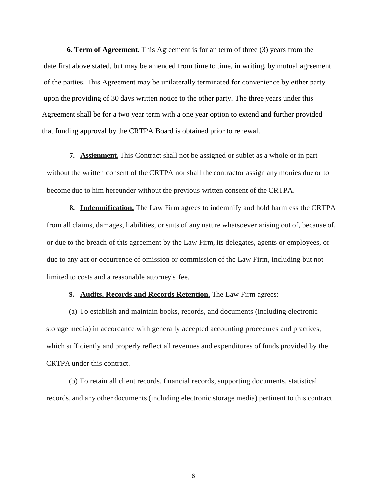**6. Term of Agreement.** This Agreement is for an term of three (3) years from the date first above stated, but may be amended from time to time, in writing, by mutual agreement of the parties. This Agreement may be unilaterally terminated for convenience by either party upon the providing of 30 days written notice to the other party. The three years under this Agreement shall be for a two year term with a one year option to extend and further provided that funding approval by the CRTPA Board is obtained prior to renewal.

**7. Assignment.** This Contract shall not be assigned or sublet as a whole or in part without the written consent of the CRTPA norshall the contractor assign any monies due or to become due to him hereunder without the previous written consent of the CRTPA.

**8. Indemnification.** The Law Firm agrees to indemnify and hold harmless the CRTPA from all claims, damages, liabilities, or suits of any nature whatsoever arising out of, because of, or due to the breach of this agreement by the Law Firm, its delegates, agents or employees, or due to any act or occurrence of omission or commission of the Law Firm, including but not limited to costs and a reasonable attorney's fee.

#### **9. Audits, Records and Records Retention.** The Law Firm agrees:

(a) To establish and maintain books, records, and documents (including electronic storage media) in accordance with generally accepted accounting procedures and practices, which sufficiently and properly reflect all revenues and expenditures of funds provided by the CRTPA under this contract.

(b) To retain all client records, financial records, supporting documents, statistical records, and any other documents (including electronic storage media) pertinent to this contract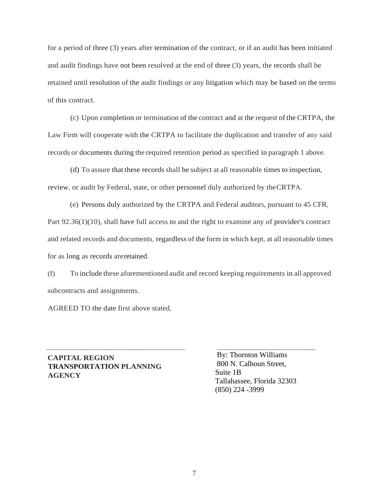for a period of three (3) years after termination of the contract, or if an audit has been initiated and audit findings have not been resolved at the end of three (3) years, the records shall be retained until resolution of the audit findings or any litigation which may be based on the terms of this contract.

(c) Upon completion or termination of the contract and at the request of the CRTPA, the Law Firm will cooperate with the CRTPA to facilitate the duplication and transfer of any said records or documents during the required retention period as specified in paragraph 1 above.

(d) To assure that these records shall be subject at all reasonable times to inspection, review, or audit by Federal, state, or other personnel duly authorized by theCRTPA.

(e) Persons duly authorized by the CRTPA and Federal auditors, pursuant to 45 CFR, Part 92.36(1)(10), shall have full access to and the right to examine any of provider's contract and related records and documents, regardless of the form in which kept, at all reasonable times for as long as records areretained.

(f) To include these aforementioned audit and record keeping requirements in all approved subcontracts and assignments.

 $\overline{\phantom{a}}$  , and the contribution of the contribution of the contribution of the contribution of the contribution of the contribution of the contribution of the contribution of the contribution of the contribution of the

AGREED TO the date first above stated,

**CAPITAL REGION TRANSPORTATION PLANNING AGENCY**

By: Thornton Williams 800 N. Calhoun Street, Suite 1B Tallahassee, Florida 32303 (850) 224 -3999